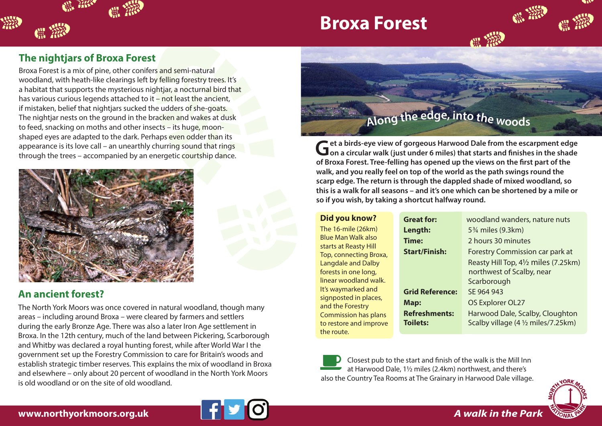## **Broxa Forest**



撚

Broxa Forest is a mix of pine, other conifers and semi-natural woodland, with heath-like clearings left by felling forestry trees. It's a habitat that supports the mysterious nightjar, a nocturnal bird that has various curious legends attached to it – not least the ancient, if mistaken, belief that nightjars sucked the udders of she-goats. The nightjar nests on the ground in the bracken and wakes at dusk to feed, snacking on moths and other insects – its huge, moonshaped eyes are adapted to the dark. Perhaps even odder than its appearance is its love call – an unearthly churring sound that rings through the trees – accompanied by an energetic courtship dance.



## **An ancient forest?**

The North York Moors was once covered in natural woodland, though many areas – including around Broxa – were cleared by farmers and settlers during the early Bronze Age. There was also a later Iron Age settlement in Broxa. In the 12th century, much of the land between Pickering, Scarborough and Whitby was declared a royal hunting forest, while after World War I the government set up the Forestry Commission to care for Britain's woods and establish strategic timber reserves. This explains the mix of woodland in Broxa and elsewhere – only about 20 percent of woodland in the North York Moors is old woodland or on the site of old woodland.



**Get a birds-eye view of gorgeous Harwood Dale from the escarpment edge on a circular walk (just under 6 miles) that starts and finishes in the shade of Broxa Forest. Tree-felling has opened up the views on the first part of the walk, and you really feel on top of the world as the path swings round the scarp edge. The return is through the dappled shade of mixed woodland, so this is a walk for all seasons – and it's one which can be shortened by a mile or so if you wish, by taking a shortcut halfway round.**

#### **Did you know?** The 16-mile (26km) Blue Man Walk also starts at Reasty Hill Top, connecting Broxa, Langdale and Dalby forests in one long, linear woodland walk. It's waymarked and signposted in places, and the Forestry Commission has plans to restore and improve **Great for:** woodland wanders, nature nuts **Length:** 5<sup>3</sup>/<sub>4</sub> miles (9.3km) **Time:** 2 hours 30 minutes **Start/Finish:** Forestry Commission car park at Reasty Hill Top, 4½ miles (7.25km) northwest of Scalby, near **Scarborough Grid Reference:** SE 964 943 **Map:** OS Explorer OL27 **Refreshments:** Harwood Dale, Scalby, Cloughton **Toilets:** Scalby village (4 <sup>1</sup>/<sub>2</sub> miles/7.25km)



the route.

Closest pub to the start and finish of the walk is the Mill Inn at Harwood Dale, 1½ miles (2.4km) northwest, and there's also the Country Tea Rooms at The Grainary in Harwood Dale village.